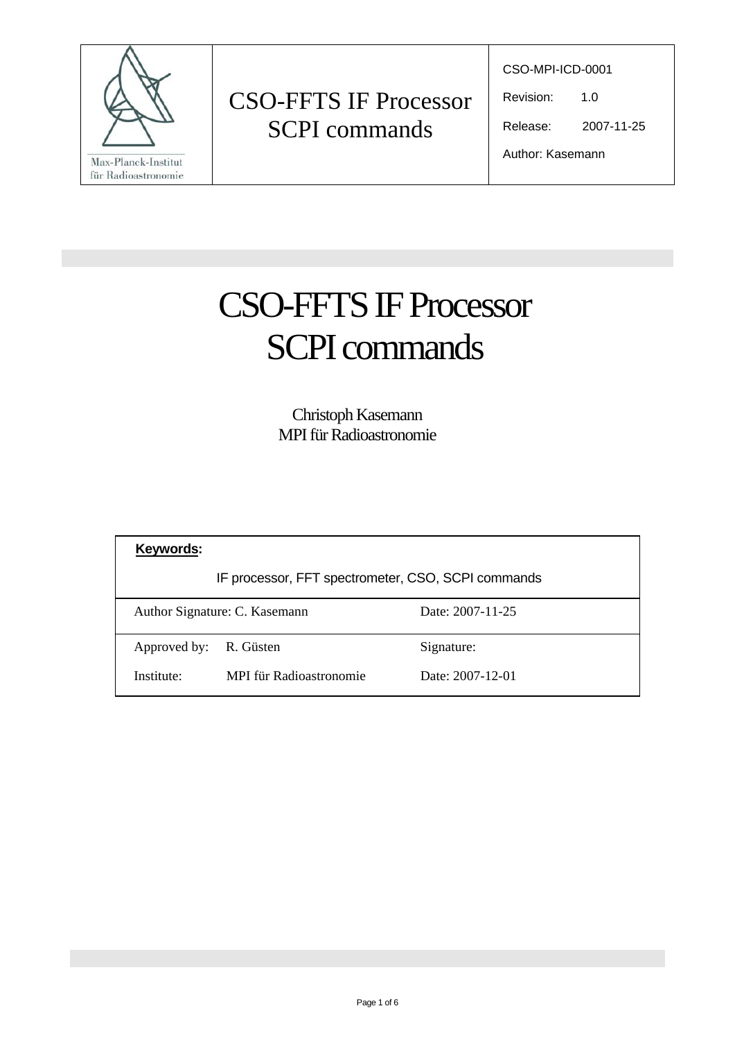

CSO-MPI-ICD-0001

Revision: 1.0

Release: 2007-11-25

Author: Kasemann

# CSO-FFTS IF Processor SCPI commands

Christoph Kasemann MPI für Radioastronomie

| Keywords:                                          |                         |                  |
|----------------------------------------------------|-------------------------|------------------|
| IF processor, FFT spectrometer, CSO, SCPI commands |                         |                  |
| Author Signature: C. Kasemann                      |                         | Date: 2007-11-25 |
| Approved by:                                       | R. Güsten               | Signature:       |
| Institute:                                         | MPI für Radioastronomie | Date: 2007-12-01 |
|                                                    |                         |                  |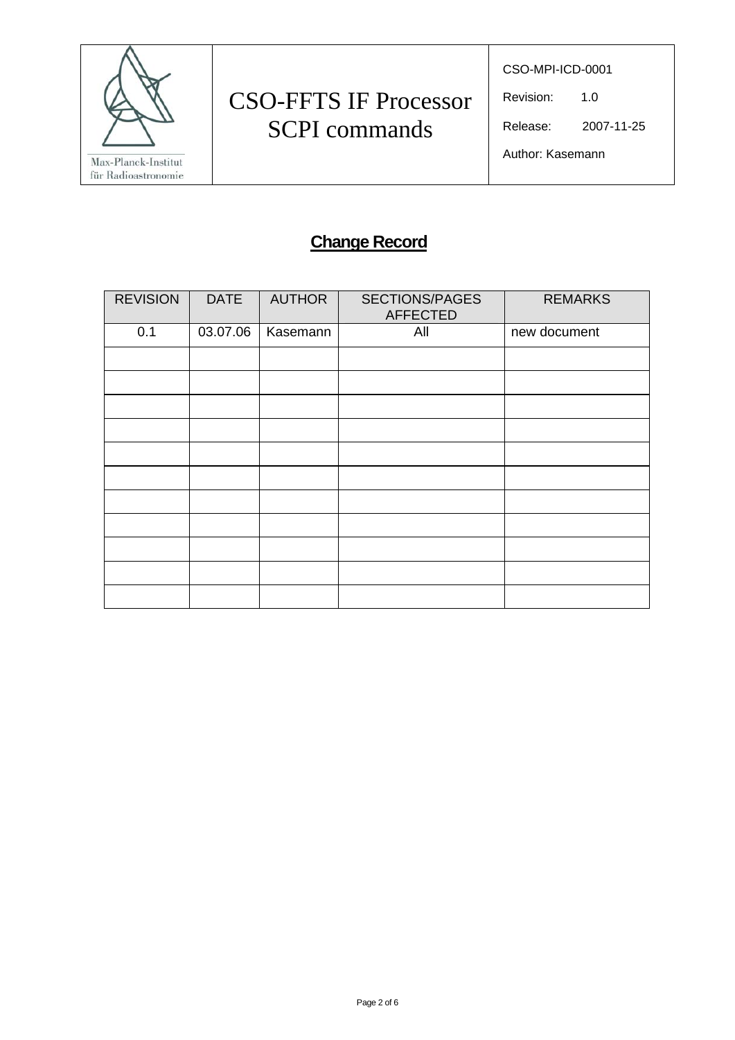

CSO-MPI-ICD-0001

Revision: 1.0

Release: 2007-11-25

Author: Kasemann

### **Change Record**

| <b>REVISION</b> | <b>DATE</b> | <b>AUTHOR</b> | <b>SECTIONS/PAGES</b><br><b>AFFECTED</b> | <b>REMARKS</b> |
|-----------------|-------------|---------------|------------------------------------------|----------------|
| 0.1             | 03.07.06    | Kasemann      | All                                      | new document   |
|                 |             |               |                                          |                |
|                 |             |               |                                          |                |
|                 |             |               |                                          |                |
|                 |             |               |                                          |                |
|                 |             |               |                                          |                |
|                 |             |               |                                          |                |
|                 |             |               |                                          |                |
|                 |             |               |                                          |                |
|                 |             |               |                                          |                |
|                 |             |               |                                          |                |
|                 |             |               |                                          |                |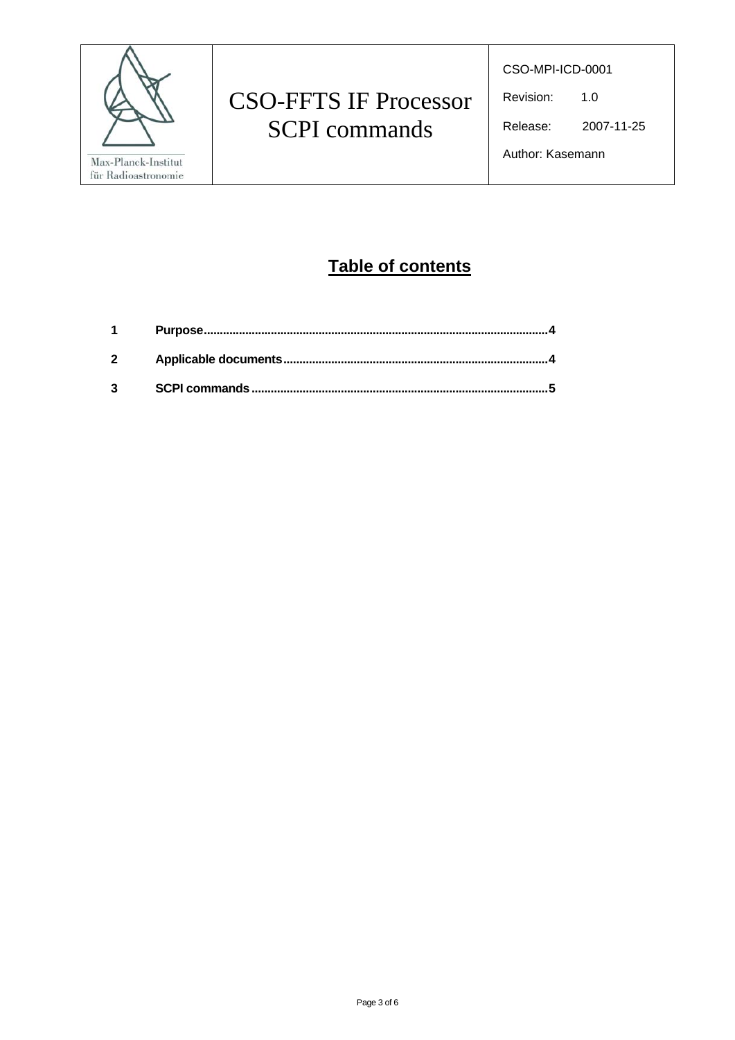

CSO-MPI-ICD-0001

Revision: 1.0

Release: 2007-11-25

Author: Kasemann

### **Table of contents**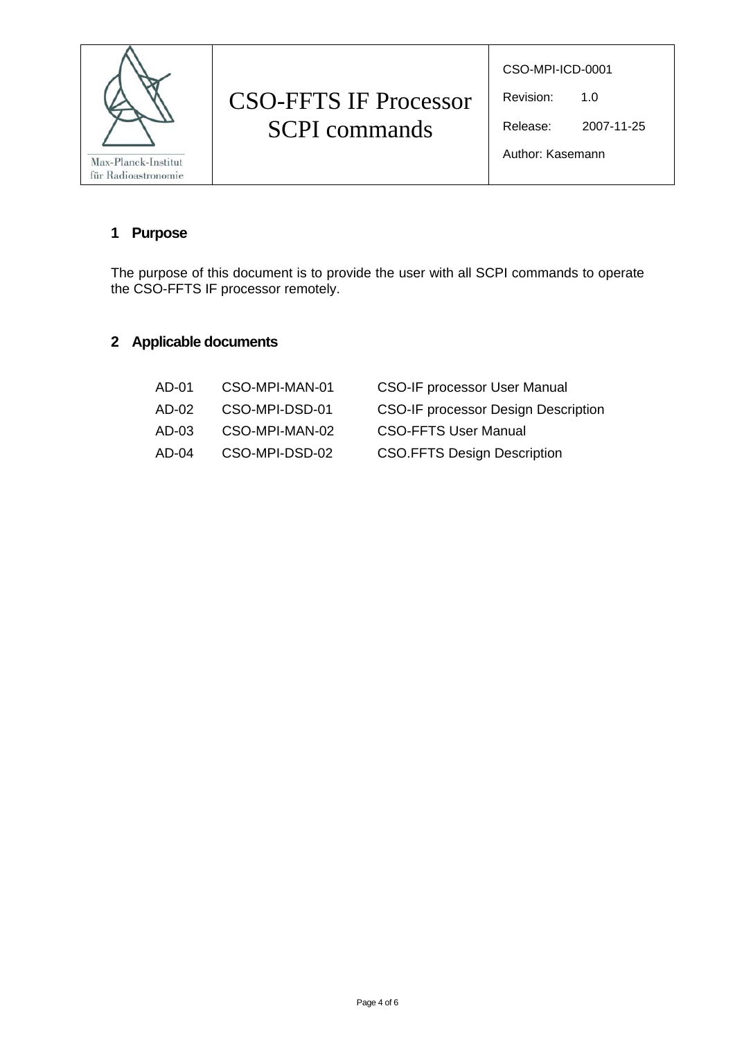

CSO-MPI-ICD-0001

Revision: 1.0

Release: 2007-11-25

Author: Kasemann

#### **1 Purpose**

The purpose of this document is to provide the user with all SCPI commands to operate the CSO-FFTS IF processor remotely.

#### **2 Applicable documents**

| AD-01  | CSO-MPI-MAN-01 | <b>CSO-IF processor User Manual</b>        |
|--------|----------------|--------------------------------------------|
| AD-02. | CSO-MPI-DSD-01 | <b>CSO-IF processor Design Description</b> |
| AD-03  | CSO-MPI-MAN-02 | <b>CSO-FFTS User Manual</b>                |
| AD-04  | CSO-MPI-DSD-02 | <b>CSO.FFTS Design Description</b>         |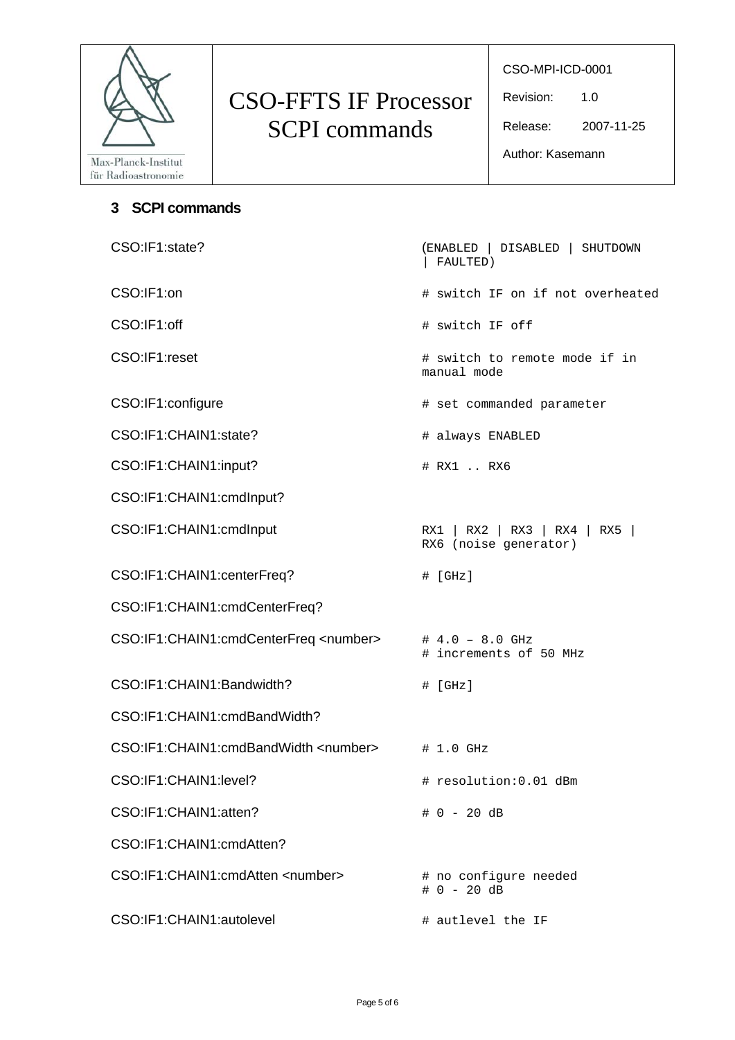

CSO-MPI-ICD-0001

Revision: 1.0

Release: 2007-11-25

Author: Kasemann

#### **3 SCPI commands**

| CSO:IF1:state?                                 | (ENABLED   DISABLED   SHUTDOWN<br>FAULTED)             |
|------------------------------------------------|--------------------------------------------------------|
| CSO:IF1:on                                     | # switch IF on if not overheated                       |
| CSO:IF1:off                                    | # switch IF off                                        |
| CSO:IF1:reset                                  | # switch to remote mode if in<br>manual mode           |
| CSO:IF1:configure                              | # set commanded parameter                              |
| CSO:IF1:CHAIN1:state?                          | # always ENABLED                                       |
| CSO:IF1:CHAIN1:input?                          | # RX1  RX6                                             |
| CSO:IF1:CHAIN1:cmdInput?                       |                                                        |
| CSO:IF1:CHAIN1:cmdInput                        | RX1   RX2   RX3   RX4   RX5  <br>RX6 (noise generator) |
| CSO:IF1:CHAIN1:centerFreq?                     | $\#$ [GHz]                                             |
| CSO:IF1:CHAIN1:cmdCenterFreq?                  |                                                        |
| CSO:IF1:CHAIN1:cmdCenterFreq <number></number> | $\# 4.0 - 8.0$ GHz<br># increments of 50 MHz           |
| CSO:IF1:CHAIN1:Bandwidth?                      | # [GHz]                                                |
| CSO:IF1:CHAIN1:cmdBandWidth?                   |                                                        |
| CSO:IF1:CHAIN1:cmdBandWidth <number></number>  | # 1.0 GHz                                              |
| CSO:IF1:CHAIN1:level?                          | # resolution: 0.01 dBm                                 |
| CSO:IF1:CHAIN1:atten?                          | $# 0 - 20 dB$                                          |
| CSO:IF1:CHAIN1:cmdAtten?                       |                                                        |
| CSO:IF1:CHAIN1:cmdAtten <number></number>      | # no configure needed<br>$# 0 - 20 dB$                 |
| CSO:IF1:CHAIN1:autolevel                       | # autlevel the IF                                      |